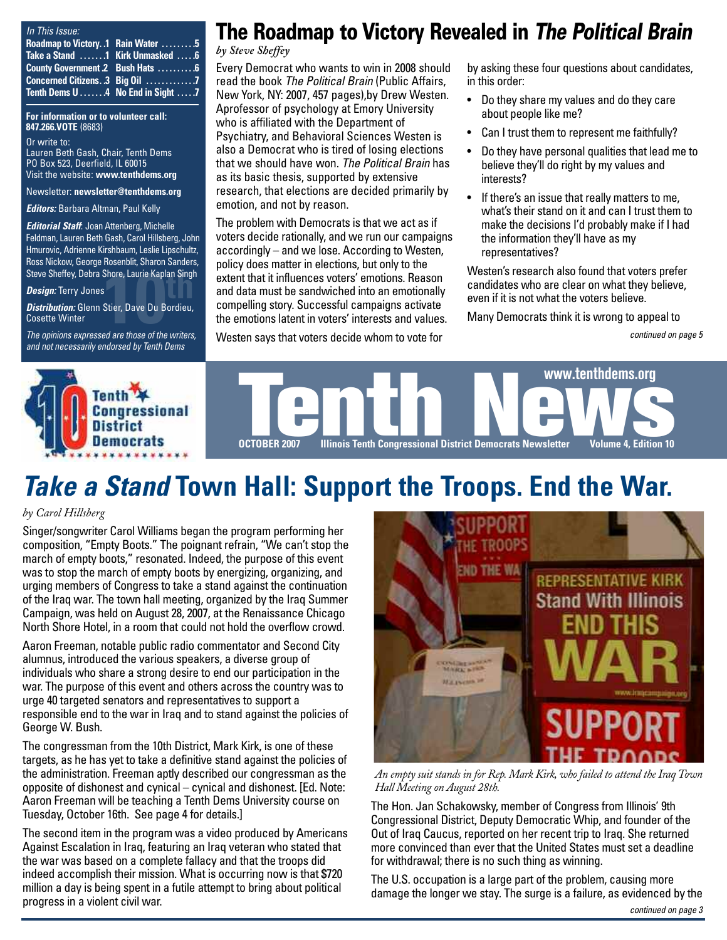|  | In This Issue: |
|--|----------------|
|  |                |

| Roadmap to Victory. .1 Rain Water 5                    |  |
|--------------------------------------------------------|--|
| Take a Stand 1 Kirk Unmasked 6                         |  |
| County Government .2 Bush Hats  6                      |  |
| Concerned Citizens. .3 Big Oil 7                       |  |
| Tenth Dems $0 \ldots 0.4$ No End in Sight $\ldots 0.7$ |  |

**For information or to volunteer call: 847.266.VOTE** (8683)

Or write to: Lauren Beth Gash, Chair, Tenth Dems PO Box 523, Deerfield, IL 60015 Visit the website: **[www.tenthdems.org](http://www.tenthdems.org)** 

Newsletter: **[newsletter@tenthdems.org](mailto:newsletter@tenthdems.org)**

*Editors:* Barbara Altman, Paul Kelly

*Editorial Staff*: Joan Attenberg, Michelle Feldman, Lauren Beth Gash, Carol Hillsberg, John Hmurovic, Adrienne Kirshbaum, Leslie Lipschultz, Ross Nickow, George Rosenblit, Sharon Sanders,

*Design:* Terry Jones

Steve Sheffey, Debra Shore, Laurie Kaplan Singh<br>**Design:** Terry Jones<br>**Distribution:** Glenn Stier, Dave Du Bordieu,<br>Cosette Winter<br>*The oninions expressed are those of the writers Distribution:* Glenn Stier, Dave Du Bordieu, Cosette Winter

*The opinions expressed are those of the writers, and not necessarily endorsed by Tenth Dems*

### **The Roadmap to Victory Revealed in** *The Political Brain*

#### *by Steve Sheffey*

Every Democrat who wants to win in 2008 should read the book *The Political Brain* (Public Affairs, New York, NY: 2007, 457 pages),by Drew Westen. Aprofessor of psychology at Emory University who is affiliated with the Department of Psychiatry, and Behavioral Sciences Westen is also a Democrat who is tired of losing elections that we should have won. *The Political Brain* has as its basic thesis, supported by extensive research, that elections are decided primarily by emotion, and not by reason.

The problem with Democrats is that we act as if voters decide rationally, and we run our campaigns accordingly – and we lose. According to Westen, policy does matter in elections, but only to the extent that it influences voters' emotions. Reason and data must be sandwiched into an emotionally compelling story. Successful campaigns activate the emotions latent in voters' interests and values.

Westen says that voters decide whom to vote for

by asking these four questions about candidates, in this order:

- Do they share my values and do they care about people like me?
- Can I trust them to represent me faithfully?
- Do they have personal qualities that lead me to believe they'll do right by my values and interests?
- If there's an issue that really matters to me, what's their stand on it and can I trust them to make the decisions I'd probably make if I had the information they'll have as my representatives?

Westen's research also found that voters prefer candidates who are clear on what they believe, even if it is not what the voters believe.

Many Democrats think it is wrong to appeal to

*continued on page 5*



# *Take a Stand* **Town Hall: Support the Troops. End the War.**

### *by Carol Hillsberg*

Singer/songwriter Carol Williams began the program performing her composition, "Empty Boots." The poignant refrain, "We can't stop the march of empty boots," resonated. Indeed, the purpose of this event was to stop the march of empty boots by energizing, organizing, and urging members of Congress to take a stand against the continuation of the Iraq war. The town hall meeting, organized by the Iraq Summer Campaign, was held on August 28, 2007, at the Renaissance Chicago North Shore Hotel, in a room that could not hold the overflow crowd.

Aaron Freeman, notable public radio commentator and Second City alumnus, introduced the various speakers, a diverse group of individuals who share a strong desire to end our participation in the war. The purpose of this event and others across the country was to urge 40 targeted senators and representatives to support a responsible end to the war in Iraq and to stand against the policies of George W. Bush.

The congressman from the 10th District, Mark Kirk, is one of these targets, as he has yet to take a definitive stand against the policies of the administration. Freeman aptly described our congressman as the opposite of dishonest and cynical – cynical and dishonest. [Ed. Note: Aaron Freeman will be teaching a Tenth Dems University course on Tuesday, October 16th. See page 4 for details.]

The second item in the program was a video produced by Americans Against Escalation in Iraq, featuring an Iraq veteran who stated that the war was based on a complete fallacy and that the troops did indeed accomplish their mission. What is occurring now is that \$720 million a day is being spent in a futile attempt to bring about political progress in a violent civil war.



*An empty suit stands in for Rep. Mark Kirk, who failed to attend the Iraq Town Hall Meeting on August 28th.*

The Hon. Jan Schakowsky, member of Congress from Illinois' 9th Congressional District, Deputy Democratic Whip, and founder of the Out of Iraq Caucus, reported on her recent trip to Iraq. She returned more convinced than ever that the United States must set a deadline for withdrawal; there is no such thing as winning.

The U.S. occupation is a large part of the problem, causing more damage the longer we stay. The surge is a failure, as evidenced by the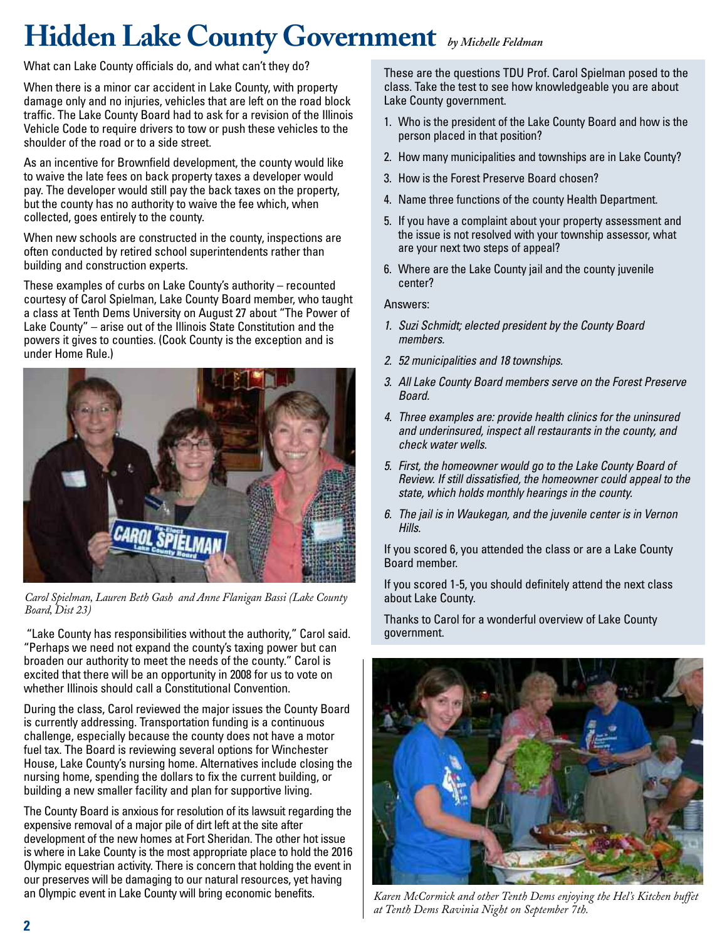# **Hidden Lake County Government** *by Michelle Feldman*

What can Lake County officials do, and what can't they do?

When there is a minor car accident in Lake County, with property damage only and no injuries, vehicles that are left on the road block traffic. The Lake County Board had to ask for a revision of the Illinois Vehicle Code to require drivers to tow or push these vehicles to the shoulder of the road or to a side street.

As an incentive for Brownfield development, the county would like to waive the late fees on back property taxes a developer would pay. The developer would still pay the back taxes on the property, but the county has no authority to waive the fee which, when collected, goes entirely to the county.

When new schools are constructed in the county, inspections are often conducted by retired school superintendents rather than building and construction experts.

These examples of curbs on Lake County's authority – recounted courtesy of Carol Spielman, Lake County Board member, who taught a class at Tenth Dems University on August 27 about "The Power of Lake County" – arise out of the Illinois State Constitution and the powers it gives to counties. (Cook County is the exception and is under Home Rule.)



*Carol Spielman, Lauren Beth Gash and Anne Flanigan Bassi (Lake County Board, Dist 23)*

"Lake County has responsibilities without the authority," Carol said. "Perhaps we need not expand the county's taxing power but can broaden our authority to meet the needs of the county." Carol is excited that there will be an opportunity in 2008 for us to vote on whether Illinois should call a Constitutional Convention.

During the class, Carol reviewed the major issues the County Board is currently addressing. Transportation funding is a continuous challenge, especially because the county does not have a motor fuel tax. The Board is reviewing several options for Winchester House, Lake County's nursing home. Alternatives include closing the nursing home, spending the dollars to fix the current building, or building a new smaller facility and plan for supportive living.

The County Board is anxious for resolution of its lawsuit regarding the expensive removal of a major pile of dirt left at the site after development of the new homes at Fort Sheridan. The other hot issue is where in Lake County is the most appropriate place to hold the 2016 Olympic equestrian activity. There is concern that holding the event in our preserves will be damaging to our natural resources, yet having an Olympic event in Lake County will bring economic benefits.

These are the questions TDU Prof. Carol Spielman posed to the class. Take the test to see how knowledgeable you are about Lake County government.

- 1. Who is the president of the Lake County Board and how is the person placed in that position?
- 2. How many municipalities and townships are in Lake County?
- 3. How is the Forest Preserve Board chosen?
- 4. Name three functions of the county Health Department.
- 5. If you have a complaint about your property assessment and the issue is not resolved with your township assessor, what are your next two steps of appeal?
- 6. Where are the Lake County jail and the county juvenile center?

### Answers:

- *1. Suzi Schmidt; elected president by the County Board members.*
- *2. 52 municipalities and 18 townships.*
- *3. All Lake County Board members serve on the Forest Preserve Board.*
- *4. Three examples are: provide health clinics for the uninsured and underinsured, inspect all restaurants in the county, and check water wells.*
- *5. First, the homeowner would go to the Lake County Board of Review. If still dissatisfied, the homeowner could appeal to the state, which holds monthly hearings in the county.*
- *6. The jail is in Waukegan, and the juvenile center is in Vernon Hills.*

If you scored 6, you attended the class or are a Lake County Board member.

If you scored 1-5, you should definitely attend the next class about Lake County.

Thanks to Carol for a wonderful overview of Lake County government.



*Karen McCormick and other Tenth Dems enjoying the Hel's Kitchen buffet at Tenth Dems Ravinia Night on September 7th.*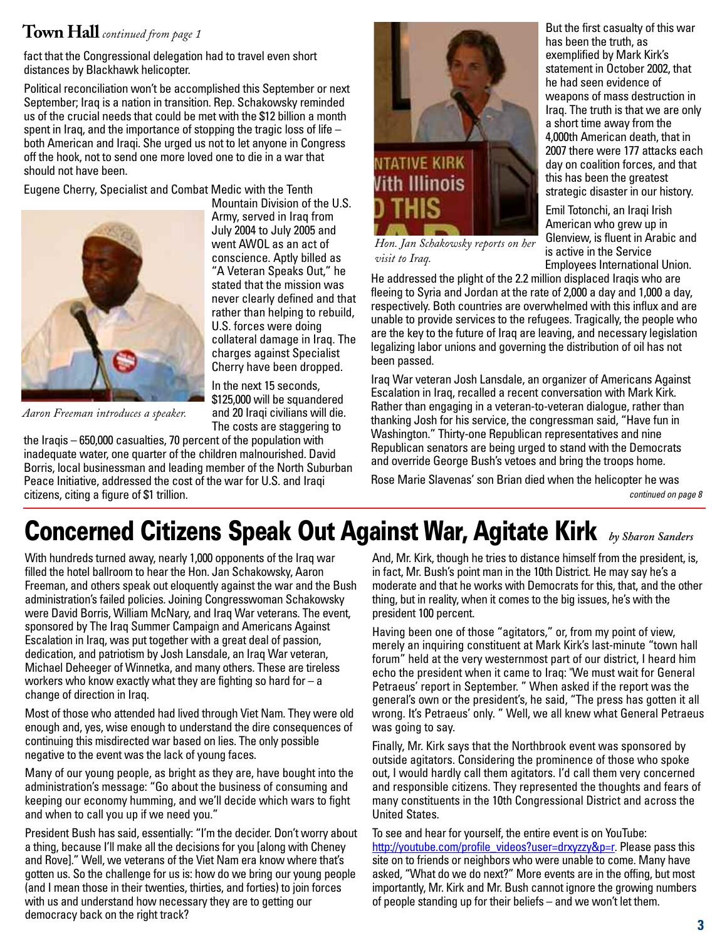### **Town Hall** *continued from page 1*

fact that the Congressional delegation had to travel even short distances by Blackhawk helicopter.

Political reconciliation won't be accomplished this September or next September; Iraq is a nation in transition. Rep. Schakowsky reminded us of the crucial needs that could be met with the \$12 billion a month spent in Iraq, and the importance of stopping the tragic loss of life  $$ both American and Iraqi. She urged us not to let anyone in Congress off the hook, not to send one more loved one to die in a war that should not have been.

Eugene Cherry, Specialist and Combat Medic with the Tenth



Mountain Division of the U.S. Army, served in Iraq from July 2004 to July 2005 and went AWOL as an act of conscience. Aptly billed as "A Veteran Speaks Out," he stated that the mission was never clearly defined and that rather than helping to rebuild, U.S. forces were doing collateral damage in Iraq. The charges against Specialist Cherry have been dropped.

In the next 15 seconds, \$125,000 will be squandered and 20 Iraqi civilians will die. The costs are staggering to

*Aaron Freeman introduces a speaker.*

the Iraqis – 650,000 casualties, 70 percent of the population with inadequate water, one quarter of the children malnourished. David Borris, local businessman and leading member of the North Suburban Peace Initiative, addressed the cost of the war for U.S. and Iraqi citizens, citing a figure of \$1 trillion.



*Hon. Jan Schakowsky reports on her visit to Iraq.*

He addressed the plight of the 2.2 million displaced Iraqis who are fleeing to Syria and Jordan at the rate of 2,000 a day and 1,000 a day, respectively. Both countries are overwhelmed with this influx and are unable to provide services to the refugees. Tragically, the people who are the key to the future of Iraq are leaving, and necessary legislation legalizing labor unions and governing the distribution of oil has not been passed.

Iraq War veteran Josh Lansdale, an organizer of Americans Against Escalation in Iraq, recalled a recent conversation with Mark Kirk. Rather than engaging in a veteran-to-veteran dialogue, rather than thanking Josh for his service, the congressman said, "Have fun in Washington." Thirty-one Republican representatives and nine Republican senators are being urged to stand with the Democrats and override George Bush's vetoes and bring the troops home.

Rose Marie Slavenas' son Brian died when the helicopter he was *continued on page 8*

# **Concerned Citizens Speak Out Against War, Agitate Kirk** *by Sharon Sanders*

With hundreds turned away, nearly 1,000 opponents of the Iraq war filled the hotel ballroom to hear the Hon. Jan Schakowsky, Aaron Freeman, and others speak out eloquently against the war and the Bush administration's failed policies. Joining Congresswoman Schakowsky were David Borris, William McNary, and Iraq War veterans. The event, sponsored by The Iraq Summer Campaign and Americans Against Escalation in Iraq, was put together with a great deal of passion, dedication, and patriotism by Josh Lansdale, an Iraq War veteran, Michael Deheeger of Winnetka, and many others. These are tireless workers who know exactly what they are fighting so hard for  $-$  a change of direction in Iraq.

Most of those who attended had lived through Viet Nam. They were old enough and, yes, wise enough to understand the dire consequences of continuing this misdirected war based on lies. The only possible negative to the event was the lack of young faces.

Many of our young people, as bright as they are, have bought into the administration's message: "Go about the business of consuming and keeping our economy humming, and we'll decide which wars to fight and when to call you up if we need you."

President Bush has said, essentially: "I'm the decider. Don't worry about a thing, because I'll make all the decisions for you [along with Cheney and Rove]." Well, we veterans of the Viet Nam era know where that's gotten us. So the challenge for us is: how do we bring our young people (and I mean those in their twenties, thirties, and forties) to join forces with us and understand how necessary they are to getting our democracy back on the right track?

And, Mr. Kirk, though he tries to distance himself from the president, is, in fact, Mr. Bush's point man in the 10th District. He may say he's a moderate and that he works with Democrats for this, that, and the other thing, but in reality, when it comes to the big issues, he's with the president 100 percent.

Having been one of those "agitators," or, from my point of view, merely an inquiring constituent at Mark Kirk's last-minute "town hall forum" held at the very westernmost part of our district, I heard him echo the president when it came to Iraq: "We must wait for General Petraeus' report in September. " When asked if the report was the general's own or the president's, he said, "The press has gotten it all wrong. It's Petraeus' only. " Well, we all knew what General Petraeus was going to say.

Finally, Mr. Kirk says that the Northbrook event was sponsored by outside agitators. Considering the prominence of those who spoke out, I would hardly call them agitators. I'd call them very concerned and responsible citizens. They represented the thoughts and fears of many constituents in the 10th Congressional District and across the United States.

To see and hear for yourself, the entire event is on YouTube: [http://youtube.com/profile\\_videos?user=drxyzzy&p=r.](http://youtube.com/profile_videos?user=drxyzzy&p=r) Please pass this site on to friends or neighbors who were unable to come. Many have asked, "What do we do next?" More events are in the offing, but most importantly, Mr. Kirk and Mr. Bush cannot ignore the growing numbers of people standing up for their beliefs – and we won't let them.

But the first casualty of this war has been the truth, as exemplified by Mark Kirk's statement in October 2002, that he had seen evidence of weapons of mass destruction in Iraq. The truth is that we are only a short time away from the 4,000th American death, that in 2007 there were 177 attacks each day on coalition forces, and that this has been the greatest strategic disaster in our history.

Emil Totonchi, an Iraqi Irish American who grew up in Glenview, is fluent in Arabic and is active in the Service Employees International Union.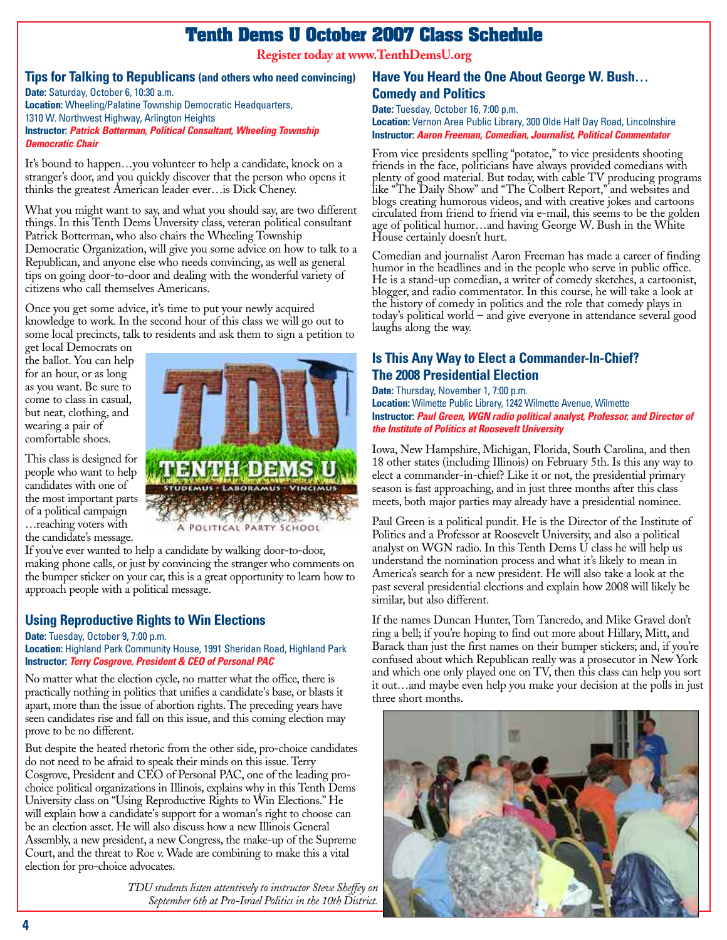### **Tenth Dems U October 2007 Class Schedule**

**Register today at [www.TenthDemsU.org](http://www.TenthDemsU.org)**

### **Tips for Talking to Republicans (and others who need convincing)**

**Date:** Saturday, October 6, 10:30 a.m. **Location:** Wheeling/Palatine Township Democratic Headquarters, 1310 W. Northwest Highway, Arlington Heights **Instructor:** *Patrick Botterman, Political Consultant, Wheeling Township Democratic Chair*

It's bound to happen…you volunteer to help a candidate, knock on a stranger's door, and you quickly discover that the person who opens it thinks the greatest American leader ever…is Dick Cheney.

What you might want to say, and what you should say, are two different things. In this Tenth Dems Unversity class, veteran political consultant Patrick Botterman, who also chairs the Wheeling Township Democratic Organization, will give you some advice on how to talk to a Republican, and anyone else who needs convincing, as well as general tips on going door-to-door and dealing with the wonderful variety of citizens who call themselves Americans.

Once you get some advice, it's time to put your newly acquired knowledge to work. In the second hour of this class we will go out to some local precincts, talk to residents and ask them to sign a petition to

get local Democrats on the ballot. You can help for an hour, or as long as you want. Be sure to come to class in casual, but neat, clothing, and wearing a pair of comfortable shoes.

This class is designed for people who want to help candidates with one of the most important parts of a political campaign …reaching voters with the candidate's message.



A POLITICAL PARTY SCHOOL

If you've ever wanted to help a candidate by walking door-to-door, making phone calls, or just by convincing the stranger who comments on the bumper sticker on your car, this is a great opportunity to learn how to approach people with a political message.

### **Using Reproductive Rights to Win Elections**

### **Date:** Tuesday, October 9, 7:00 p.m.

**Location:** Highland Park Community House, 1991 Sheridan Road, Highland Park **Instructor:** *Terry Cosgrove, President & CEO of Personal PAC*

No matter what the election cycle, no matter what the office, there is practically nothing in politics that unifies a candidate's base, or blasts it apart, more than the issue of abortion rights. The preceding years have seen candidates rise and fall on this issue, and this coming election may prove to be no different.

But despite the heated rhetoric from the other side, pro-choice candidates do not need to be afraid to speak their minds on this issue. Terry Cosgrove, President and CEO of Personal PAC, one of the leading prochoice political organizations in Illinois, explains why in this Tenth Dems University class on "Using Reproductive Rights to Win Elections." He will explain how a candidate's support for a woman's right to choose can be an election asset. He will also discuss how a new Illinois General Assembly, a new president, a new Congress, the make-up of the Supreme Court, and the threat to Roe v. Wade are combining to make this a vital election for pro-choice advocates.

> *TDU students listen attentively to instructor Steve Sheffey on September 6th at Pro-Israel Politics in the 10th District.*

### **Have You Heard the One About George W. Bush… Comedy and Politics**

**Date:** Tuesday, October 16, 7:00 p.m.

**Location:** Vernon Area Public Library, 300 Olde Half Day Road, Lincolnshire **Instructor:** *Aaron Freeman, Comedian, Journalist, Political Commentator*

From vice presidents spelling "potatoe," to vice presidents shooting friends in the face, politicians have always provided comedians with plenty of good material. But today, with cable TV producing programs like "The Daily Show" and "The Colbert Report," and websites and blogs creating humorous videos, and with creative jokes and cartoons circulated from friend to friend via e-mail, this seems to be the golden age of political humor…and having George W. Bush in the White House certainly doesn't hurt.

Comedian and journalist Aaron Freeman has made a career of finding humor in the headlines and in the people who serve in public office. He is a stand-up comedian, a writer of comedy sketches, a cartoonist, blogger, and radio commentator. In this course, he will take a look at the history of comedy in politics and the role that comedy plays in today's political world – and give everyone in attendance several good laughs along the way.

### **Is This Any Way to Elect a Commander-In-Chief? The 2008 Presidential Election**

#### **Date:** Thursday, November 1, 7:00 p.m.

**Location:** Wilmette Public Library, 1242 Wilmette Avenue, Wilmette **Instructor:** *Paul Green, WGN radio political analyst, Professor, and Director of the Institute of Politics at Roosevelt University*

Iowa, New Hampshire, Michigan, Florida, South Carolina, and then 18 other states (including Illinois) on February 5th. Is this any way to elect a commander-in-chief? Like it or not, the presidential primary season is fast approaching, and in just three months after this class meets, both major parties may already have a presidential nominee.

Paul Green is a political pundit. He is the Director of the Institute of Politics and a Professor at Roosevelt University, and also a political analyst on WGN radio. In this Tenth Dems U class he will help us understand the nomination process and what it's likely to mean in America's search for a new president. He will also take a look at the past several presidential elections and explain how 2008 will likely be similar, but also different.

If the names Duncan Hunter, Tom Tancredo, and Mike Gravel don't ring a bell; if you're hoping to find out more about Hillary, Mitt, and Barack than just the first names on their bumper stickers; and, if you're confused about which Republican really was a prosecutor in New York and which one only played one on TV, then this class can help you sort it out…and maybe even help you make your decision at the polls in just three short months.

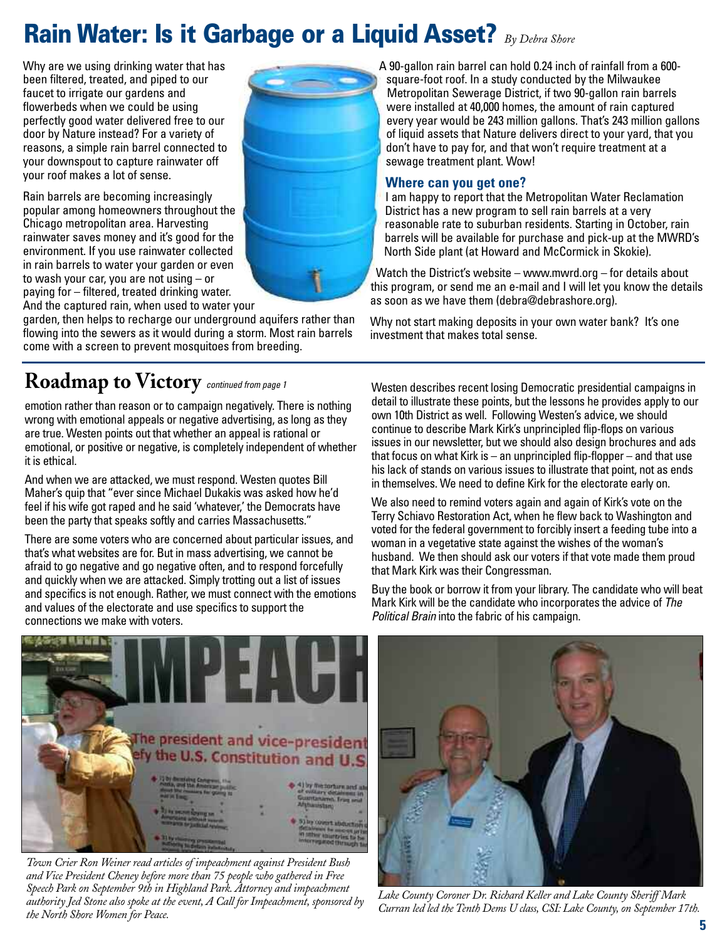# **Rain Water: Is it Garbage or a Liquid Asset?** *By Debra Shore*

Why are we using drinking water that has been filtered, treated, and piped to our faucet to irrigate our gardens and flowerbeds when we could be using perfectly good water delivered free to our door by Nature instead? For a variety of reasons, a simple rain barrel connected to your downspout to capture rainwater off your roof makes a lot of sense.

Rain barrels are becoming increasingly popular among homeowners throughout the Chicago metropolitan area. Harvesting rainwater saves money and it's good for the environment. If you use rainwater collected in rain barrels to water your garden or even to wash your car, you are not using – or paying for – filtered, treated drinking water. And the captured rain, when used to water your

garden, then helps to recharge our underground aquifers rather than flowing into the sewers as it would during a storm. Most rain barrels come with a screen to prevent mosquitoes from breeding.

**Roadmap to Victory** *continued from page 1*

emotion rather than reason or to campaign negatively. There is nothing wrong with emotional appeals or negative advertising, as long as they are true. Westen points out that whether an appeal is rational or emotional, or positive or negative, is completely independent of whether it is ethical.

And when we are attacked, we must respond. Westen quotes Bill Maher's quip that "ever since Michael Dukakis was asked how he'd feel if his wife got raped and he said 'whatever,' the Democrats have been the party that speaks softly and carries Massachusetts."

There are some voters who are concerned about particular issues, and that's what websites are for. But in mass advertising, we cannot be afraid to go negative and go negative often, and to respond forcefully and quickly when we are attacked. Simply trotting out a list of issues and specifics is not enough. Rather, we must connect with the emotions and values of the electorate and use specifics to support the connections we make with voters.



### **Where can you get one?**

I am happy to report that the Metropolitan Water Reclamation District has a new program to sell rain barrels at a very reasonable rate to suburban residents. Starting in October, rain barrels will be available for purchase and pick-up at the MWRD's North Side plant (at Howard and McCormick in Skokie).

Watch the District's website – [www.mwrd.org – f](http://www.mwrd.org)or details about this program, or send me an e-mail and I will let you know the details as soon as we have them ([debra@debrashore.org](mailto:debra@debrashore.org)).

Why not start making deposits in your own water bank? It's one investment that makes total sense.

Westen describes recent losing Democratic presidential campaigns in detail to illustrate these points, but the lessons he provides apply to our own 10th District as well. Following Westen's advice, we should continue to describe Mark Kirk's unprincipled flip-flops on various issues in our newsletter, but we should also design brochures and ads that focus on what Kirk is – an unprincipled flip-flopper – and that use his lack of stands on various issues to illustrate that point, not as ends in themselves. We need to define Kirk for the electorate early on.

We also need to remind voters again and again of Kirk's vote on the Terry Schiavo Restoration Act, when he flew back to Washington and voted for the federal government to forcibly insert a feeding tube into a woman in a vegetative state against the wishes of the woman's husband. We then should ask our voters if that vote made them proud that Mark Kirk was their Congressman.

Buy the book or borrow it from your library. The candidate who will beat Mark Kirk will be the candidate who incorporates the advice of *The Political Brain* into the fabric of his campaign.



*Town Crier Ron Weiner read articles of impeachment against President Bush and Vice President Cheney before more than 75 people who gathered in Free Speech Park on September 9th in Highland Park. Attorney and impeachment authority Jed Stone also spoke at the event, A Call for Impeachment, sponsored by the North Shore Women for Peace.*



*Lake County Coroner Dr. Richard Keller and Lake County Sheriff Mark Curran led led the Tenth Dems U class, CSI: Lake County,on September 17th.*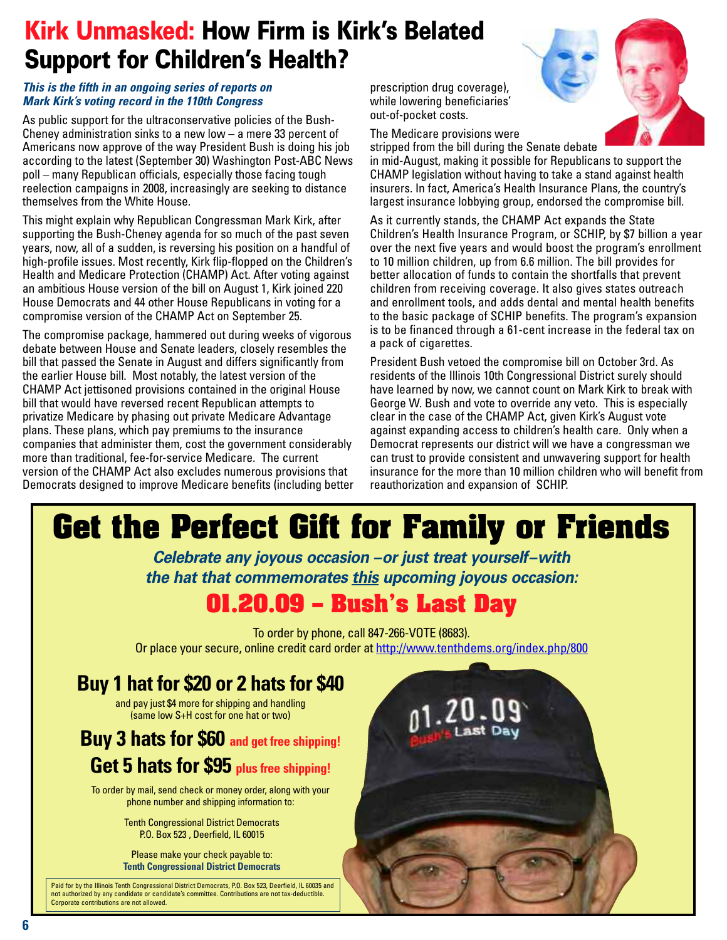# **Kirk Unmasked: How Firm is Kirk's Belated Support for Children's Health?**

### *This is the fifth in an ongoing series of reports on Mark Kirk's voting record in the 110th Congress*

As public support for the ultraconservative policies of the Bush-Cheney administration sinks to a new low – a mere 33 percent of Americans now approve of the way President Bush is doing his job according to the latest (September 30) Washington Post-ABC News poll – many Republican officials, especially those facing tough reelection campaigns in 2008, increasingly are seeking to distance themselves from the White House.

This might explain why Republican Congressman Mark Kirk, after supporting the Bush-Cheney agenda for so much of the past seven years, now, all of a sudden, is reversing his position on a handful of high-profile issues. Most recently, Kirk flip-flopped on the Children's Health and Medicare Protection (CHAMP) Act. After voting against an ambitious House version of the bill on August 1, Kirk joined 220 House Democrats and 44 other House Republicans in voting for a compromise version of the CHAMP Act on September 25.

The compromise package, hammered out during weeks of vigorous debate between House and Senate leaders, closely resembles the bill that passed the Senate in August and differs significantly from the earlier House bill. Most notably, the latest version of the CHAMP Act jettisoned provisions contained in the original House bill that would have reversed recent Republican attempts to privatize Medicare by phasing out private Medicare Advantage plans. These plans, which pay premiums to the insurance companies that administer them, cost the government considerably more than traditional, fee-for-service Medicare. The current version of the CHAMP Act also excludes numerous provisions that Democrats designed to improve Medicare benefits (including better

prescription drug coverage), while lowering beneficiaries' out-of-pocket costs.

The Medicare provisions were

stripped from the bill during the Senate debate in mid-August, making it possible for Republicans to support the CHAMP legislation without having to take a stand against health insurers. In fact, America's Health Insurance Plans, the country's largest insurance lobbying group, endorsed the compromise bill.

As it currently stands, the CHAMP Act expands the State Children's Health Insurance Program, or SCHIP, by \$7 billion a year over the next five years and would boost the program's enrollment to 10 million children, up from 6.6 million. The bill provides for better allocation of funds to contain the shortfalls that prevent children from receiving coverage. It also gives states outreach and enrollment tools, and adds dental and mental health benefits to the basic package of SCHIP benefits. The program's expansion is to be financed through a 61-cent increase in the federal tax on a pack of cigarettes.

President Bush vetoed the compromise bill on October 3rd. As residents of the Illinois 10th Congressional District surely should have learned by now, we cannot count on Mark Kirk to break with George W. Bush and vote to override any veto. This is especially clear in the case of the CHAMP Act, given Kirk's August vote against expanding access to children's health care. Only when a Democrat represents our district will we have a congressman we can trust to provide consistent and unwavering support for health insurance for the more than 10 million children who will benefit from reauthorization and expansion of SCHIP.

# **Get the Perfect Gift for Family or Friends**

*Celebrate any joyous occasion –or just treat yourself–with the hat that commemorates this upcoming joyous occasion:*

# **01.20.09 – Bush's Last Day**

To order by phone, call 847-266-VOTE (8683). Or place your secure, online credit card order at <http://www.tenthdems.org/index.php/800>

# **Buy 1 hat for \$20 or 2 hats for \$40**

and pay just \$4 more for shipping and handling (same low S+H cost for one hat or two)

## **Buy 3 hats for \$60 and get free shipping! Get 5 hats for \$95 plus free shipping!**

To order by mail, send check or money order, along with your phone number and shipping information to:

> Tenth Congressional District Democrats P.O. Box 523 , Deerfield, IL 60015

Please make your check payable to: **Tenth Congressional District Democrats**

Paid for by the Illinois Tenth Congressional District Democrats, P.O. Box 523, Deerfield, IL 60035 and not authorized by any candidate or candidate's committee. Contributions are not tax-deductible. Corporate contributions are not allowed.





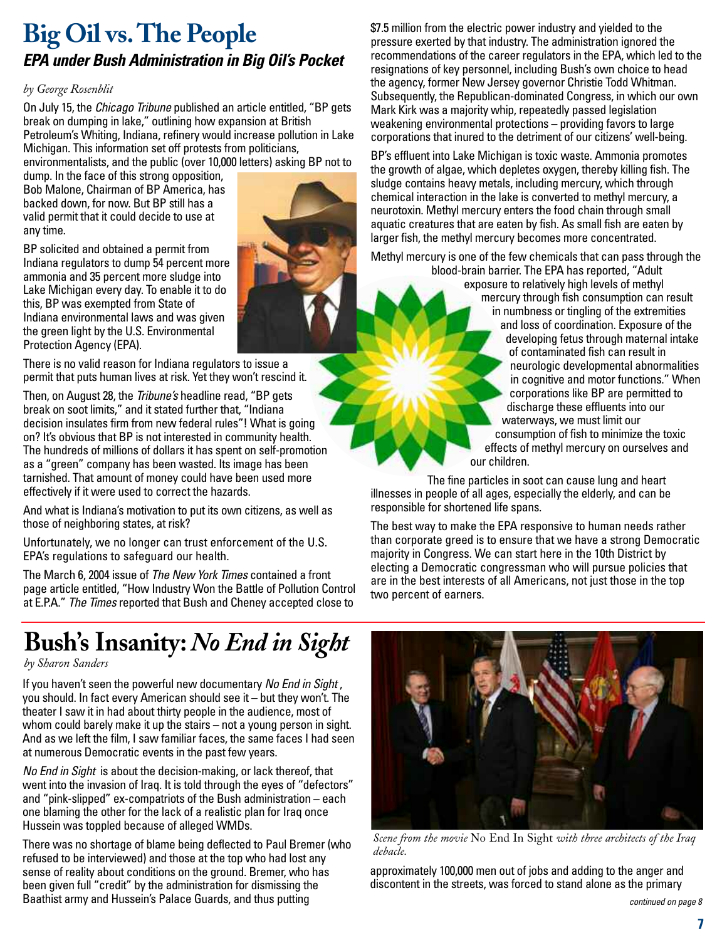# **Big Oil vs.The People** *EPA under Bush Administration in Big Oil's Pocket*

### *by George Rosenblit*

On July 15, the *Chicago Tribune* published an article entitled, "BP gets break on dumping in lake," outlining how expansion at British Petroleum's Whiting, Indiana, refinery would increase pollution in Lake Michigan. This information set off protests from politicians,

environmentalists, and the public (over 10,000 letters) asking BP not to

dump. In the face of this strong opposition, Bob Malone, Chairman of BP America, has backed down, for now. But BP still has a valid permit that it could decide to use at any time.

BP solicited and obtained a permit from Indiana regulators to dump 54 percent more ammonia and 35 percent more sludge into Lake Michigan every day. To enable it to do this, BP was exempted from State of Indiana environmental laws and was given the green light by the U.S. Environmental Protection Agency (EPA).



There is no valid reason for Indiana regulators to issue a permit that puts human lives at risk. Yet they won't rescind it.

Then, on August 28, the *Tribune's* headline read, "BP gets break on soot limits," and it stated further that, "Indiana decision insulates firm from new federal rules"! What is going on? It's obvious that BP is not interested in community health. The hundreds of millions of dollars it has spent on self-promotion as a "green" company has been wasted. Its image has been tarnished. That amount of money could have been used more effectively if it were used to correct the hazards.

And what is Indiana's motivation to put its own citizens, as well as those of neighboring states, at risk?

Unfortunately, we no longer can trust enforcement of the U.S. EPA's regulations to safeguard our health.

The March 6, 2004 issue of *The New York Times* contained a front page article entitled, "How Industry Won the Battle of Pollution Control at E.P.A." *The Times* reported that Bush and Cheney accepted close to

\$7.5 million from the electric power industry and yielded to the pressure exerted by that industry. The administration ignored the recommendations of the career regulators in the EPA, which led to the resignations of key personnel, including Bush's own choice to head the agency, former New Jersey governor Christie Todd Whitman. Subsequently, the Republican-dominated Congress, in which our own Mark Kirk was a majority whip, repeatedly passed legislation weakening environmental protections – providing favors to large corporations that inured to the detriment of our citizens' well-being.

BP's effluent into Lake Michigan is toxic waste. Ammonia promotes the growth of algae, which depletes oxygen, thereby killing fish. The sludge contains heavy metals, including mercury, which through chemical interaction in the lake is converted to methyl mercury, a neurotoxin. Methyl mercury enters the food chain through small aquatic creatures that are eaten by fish. As small fish are eaten by larger fish, the methyl mercury becomes more concentrated.

Methyl mercury is one of the few chemicals that can pass through the blood-brain barrier. The EPA has reported, "Adult

exposure to relatively high levels of methyl mercury through fish consumption can result in numbness or tingling of the extremities and loss of coordination. Exposure of the developing fetus through maternal intake of contaminated fish can result in neurologic developmental abnormalities in cognitive and motor functions." When corporations like BP are permitted to discharge these effluents into our waterways, we must limit our consumption of fish to minimize the toxic effects of methyl mercury on ourselves and our children.

The fine particles in soot can cause lung and heart illnesses in people of all ages, especially the elderly, and can be responsible for shortened life spans.

The best way to make the EPA responsive to human needs rather than corporate greed is to ensure that we have a strong Democratic majority in Congress. We can start here in the 10th District by electing a Democratic congressman who will pursue policies that are in the best interests of all Americans, not just those in the top two percent of earners.

# **Bush's Insanity:** *No End in Sight*

### *by Sharon Sanders*

If you haven't seen the powerful new documentary *No End in Sight* , you should. In fact every American should see it – but they won't. The theater I saw it in had about thirty people in the audience, most of whom could barely make it up the stairs – not a young person in sight. And as we left the film, I saw familiar faces, the same faces I had seen at numerous Democratic events in the past few years.

*No End in Sight* is about the decision-making, or lack thereof, that went into the invasion of Iraq. It is told through the eyes of "defectors" and "pink-slipped" ex-compatriots of the Bush administration – each one blaming the other for the lack of a realistic plan for Iraq once Hussein was toppled because of alleged WMDs.

There was no shortage of blame being deflected to Paul Bremer (who refused to be interviewed) and those at the top who had lost any sense of reality about conditions on the ground. Bremer, who has been given full "credit" by the administration for dismissing the Baathist army and Hussein's Palace Guards, and thus putting



*Scene from the movie* No End In Sight *with three architects of the Iraq debacle.*

approximately 100,000 men out of jobs and adding to the anger and discontent in the streets, was forced to stand alone as the primary